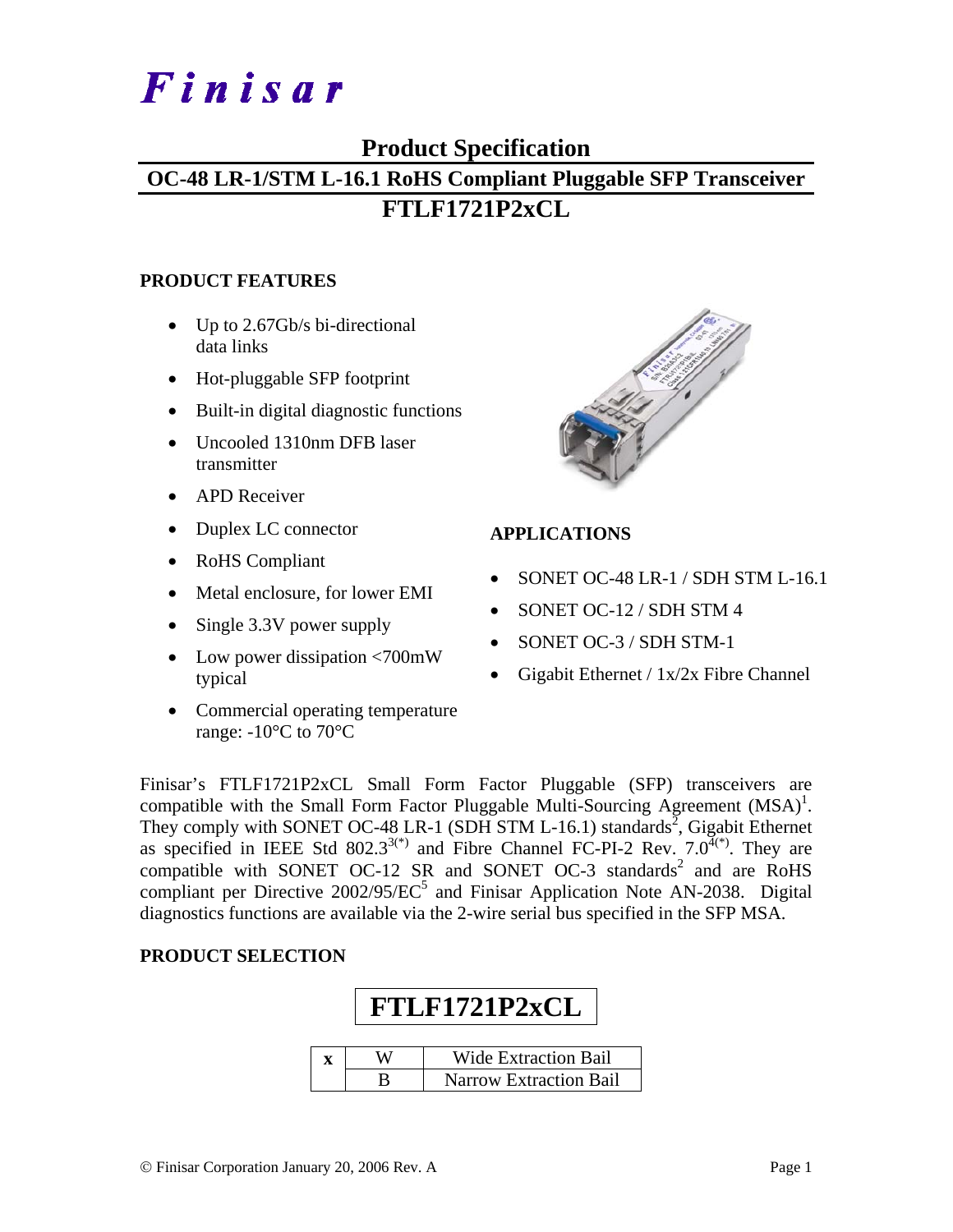# Finisar

## **Product Specification**

## **OC-48 LR-1/STM L-16.1 RoHS Compliant Pluggable SFP Transceiver FTLF1721P2xCL**

#### **PRODUCT FEATURES**

- Up to 2.67Gb/s bi-directional data links
- Hot-pluggable SFP footprint
- Built-in digital diagnostic functions
- Uncooled 1310nm DFB laser transmitter
- APD Receiver
- Duplex LC connector
- RoHS Compliant
- Metal enclosure, for lower EMI
- Single 3.3V power supply
- Low power dissipation <700mW typical
- Commercial operating temperature range:  $-10^{\circ}$ C to 70 $^{\circ}$ C



#### **APPLICATIONS**

- SONET OC-48 LR-1 / SDH STM L-16.1
- SONET OC-12 / SDH STM 4
- SONET OC-3 / SDH STM-1
- Gigabit Ethernet / 1x/2x Fibre Channel

Finisar's FTLF1721P2xCL Small Form Factor Pluggable (SFP) transceivers are compatible with the Small Form Factor Pluggable Multi-Sourcing Agreement  $(MSA)^{1}$ . They comply with SONET OC-48 LR-1 (SDH STM L-16.1) standards<sup>2</sup>, Gigabit Ethernet as specified in IEEE Std 802.3<sup>3(\*)</sup> and Fibre Channel FC-PI-2 Rev.  $7.0^{4(*)}$ . They are compatible with SONET OC-12 SR and SONET OC-3 standards<sup>2</sup> and are RoHS compliant per Directive  $2002/95/EC^5$  and Finisar Application Note AN-2038. Digital diagnostics functions are available via the 2-wire serial bus specified in the SFP MSA.

#### **PRODUCT SELECTION**

| FTLF1721P2xCL |                               |  |  |  |  |  |
|---------------|-------------------------------|--|--|--|--|--|
|               | <b>Wide Extraction Bail</b>   |  |  |  |  |  |
|               | <b>Narrow Extraction Bail</b> |  |  |  |  |  |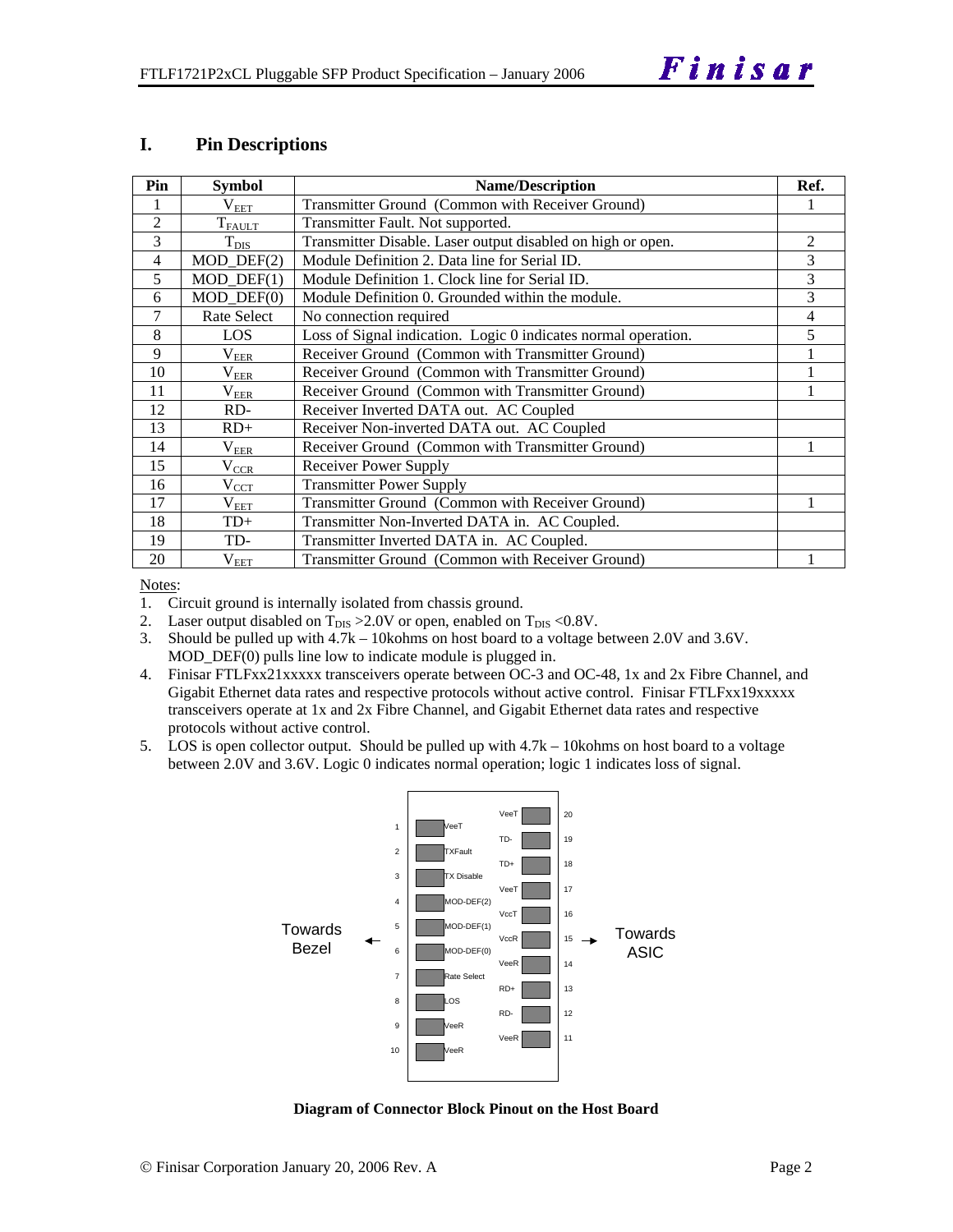#### **I. Pin Descriptions**

| Pin            | <b>Symbol</b>  | <b>Name/Description</b>                                        |   |  |  |
|----------------|----------------|----------------------------------------------------------------|---|--|--|
|                | $\rm V_{EET}$  | Transmitter Ground (Common with Receiver Ground)               |   |  |  |
| 2              | $T_{FAULT}$    | Transmitter Fault. Not supported.                              |   |  |  |
| 3              | $T_{\rm DIS}$  | Transmitter Disable. Laser output disabled on high or open.    | 2 |  |  |
| 4              | MOD_DEF(2)     | Module Definition 2. Data line for Serial ID.                  | 3 |  |  |
| 5              | $MOD$ $DEF(1)$ | Module Definition 1. Clock line for Serial ID.                 | 3 |  |  |
| 6              | $MOD$ $DEF(0)$ | Module Definition 0. Grounded within the module.               | 3 |  |  |
| $\overline{7}$ | Rate Select    | No connection required                                         | 4 |  |  |
| 8              | LOS            | Loss of Signal indication. Logic 0 indicates normal operation. | 5 |  |  |
| 9              | $V_{EER}$      | Receiver Ground (Common with Transmitter Ground)               |   |  |  |
| 10             | $\rm V_{EER}$  | Receiver Ground (Common with Transmitter Ground)               |   |  |  |
| 11             | $\rm V_{EER}$  | Receiver Ground (Common with Transmitter Ground)               |   |  |  |
| 12             | RD-            | Receiver Inverted DATA out. AC Coupled                         |   |  |  |
| 13             | $RD+$          | Receiver Non-inverted DATA out. AC Coupled                     |   |  |  |
| 14             | $\rm V_{EER}$  | Receiver Ground (Common with Transmitter Ground)               |   |  |  |
| 15             | $V_{CCR}$      | Receiver Power Supply                                          |   |  |  |
| 16             | $\rm V_{CCT}$  | <b>Transmitter Power Supply</b>                                |   |  |  |
| 17             | $V_{EET}$      | Transmitter Ground (Common with Receiver Ground)               |   |  |  |
| 18             | $TD+$          | Transmitter Non-Inverted DATA in. AC Coupled.                  |   |  |  |
| 19             | TD-            | Transmitter Inverted DATA in. AC Coupled.                      |   |  |  |
| 20             | $\rm V_{EET}$  | Transmitter Ground (Common with Receiver Ground)               |   |  |  |

Notes:

1. Circuit ground is internally isolated from chassis ground.

2. Laser output disabled on  $T_{DIS} > 2.0V$  or open, enabled on  $T_{DIS} < 0.8V$ .

3. Should be pulled up with 4.7k – 10kohms on host board to a voltage between 2.0V and 3.6V. MOD\_DEF(0) pulls line low to indicate module is plugged in.

4. Finisar FTLFxx21xxxxx transceivers operate between OC-3 and OC-48, 1x and 2x Fibre Channel, and Gigabit Ethernet data rates and respective protocols without active control. Finisar FTLFxx19xxxxx transceivers operate at 1x and 2x Fibre Channel, and Gigabit Ethernet data rates and respective protocols without active control.

5. LOS is open collector output. Should be pulled up with 4.7k – 10kohms on host board to a voltage between 2.0V and 3.6V. Logic 0 indicates normal operation; logic 1 indicates loss of signal.



**Diagram of Connector Block Pinout on the Host Board**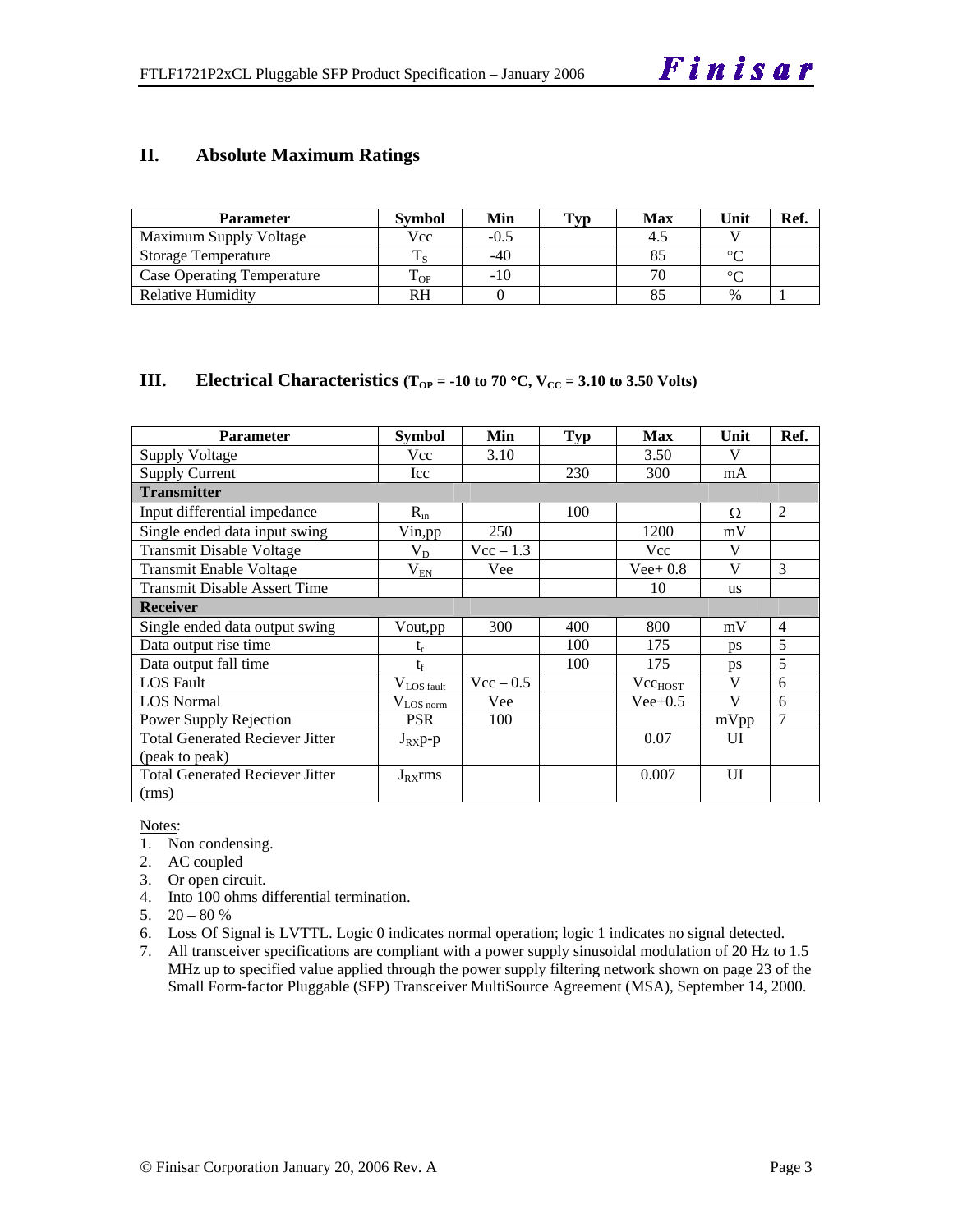#### **II. Absolute Maximum Ratings**

| <b>Parameter</b>                  | Svmbol | Min    | Typ | Max | Unit   | Ref. |
|-----------------------------------|--------|--------|-----|-----|--------|------|
| Maximum Supply Voltage            | Vcc    | $-0.5$ |     |     |        |      |
| <b>Storage Temperature</b>        | m      | $-40$  |     |     | $\sim$ |      |
| <b>Case Operating Temperature</b> | OP.    | -10    |     |     | $\sim$ |      |
| Relative Humidity                 |        |        |     |     | $\%$   |      |

#### **III.** Electrical Characteristics ( $T_{OP} = -10$  to 70 °C,  $V_{CC} = 3.10$  to 3.50 Volts)

| <b>Parameter</b>                       | Symbol          | Min                | <b>Typ</b> | <b>Max</b>          | Unit         | Ref.           |
|----------------------------------------|-----------------|--------------------|------------|---------------------|--------------|----------------|
| Supply Voltage                         | Vcc             | 3.10               |            | 3.50                | V            |                |
| <b>Supply Current</b>                  | Icc             |                    | 230        | 300                 | mA           |                |
| <b>Transmitter</b>                     |                 |                    |            |                     |              |                |
| Input differential impedance           | $R_{in}$        |                    | 100        |                     | Ω            | 2              |
| Single ended data input swing          | Vin, pp         | 250                |            | 1200                | mV           |                |
| <b>Transmit Disable Voltage</b>        | $V_D$           | $Vec - 1.3$        |            | Vcc                 | $\mathbf{V}$ |                |
| <b>Transmit Enable Voltage</b>         | $V_{EN}$        | Vee                |            | $Vee+0.8$           | $\mathbf{V}$ | 3              |
| <b>Transmit Disable Assert Time</b>    |                 |                    |            | 10                  | <b>us</b>    |                |
| <b>Receiver</b>                        |                 |                    |            |                     |              |                |
| Single ended data output swing         | Vout,pp         | 300                | 400        | 800                 | mV           | $\overline{4}$ |
| Data output rise time                  | $t_{r}$         |                    | 100        | 175                 | ps           | 5              |
| Data output fall time                  | $t_f$           |                    | 100        | 175                 | <b>ps</b>    | 5              |
| <b>LOS</b> Fault                       | $V_{LOS fault}$ | $\text{Vcc} - 0.5$ |            | Vcc <sub>HOST</sub> | V            | 6              |
| <b>LOS</b> Normal                      | $V_{LOS\,norm}$ | Vee                |            | $Vee+0.5$           | $\mathbf{V}$ | 6              |
| Power Supply Rejection                 | <b>PSR</b>      | 100                |            |                     | mVpp         | $\overline{7}$ |
| <b>Total Generated Reciever Jitter</b> | $J_{RX}p-p$     |                    |            | 0.07                | UI           |                |
| (peak to peak)                         |                 |                    |            |                     |              |                |
| <b>Total Generated Reciever Jitter</b> | $J_{RX}$ rms    |                    |            | 0.007               | UI           |                |
| (rms)                                  |                 |                    |            |                     |              |                |

#### Notes:

- 1. Non condensing.
- 2. AC coupled
- 3. Or open circuit.
- 4. Into 100 ohms differential termination.
- 5.  $20 80 %$
- 6. Loss Of Signal is LVTTL. Logic 0 indicates normal operation; logic 1 indicates no signal detected.
- 7. All transceiver specifications are compliant with a power supply sinusoidal modulation of 20 Hz to 1.5 MHz up to specified value applied through the power supply filtering network shown on page 23 of the Small Form-factor Pluggable (SFP) Transceiver MultiSource Agreement (MSA), September 14, 2000.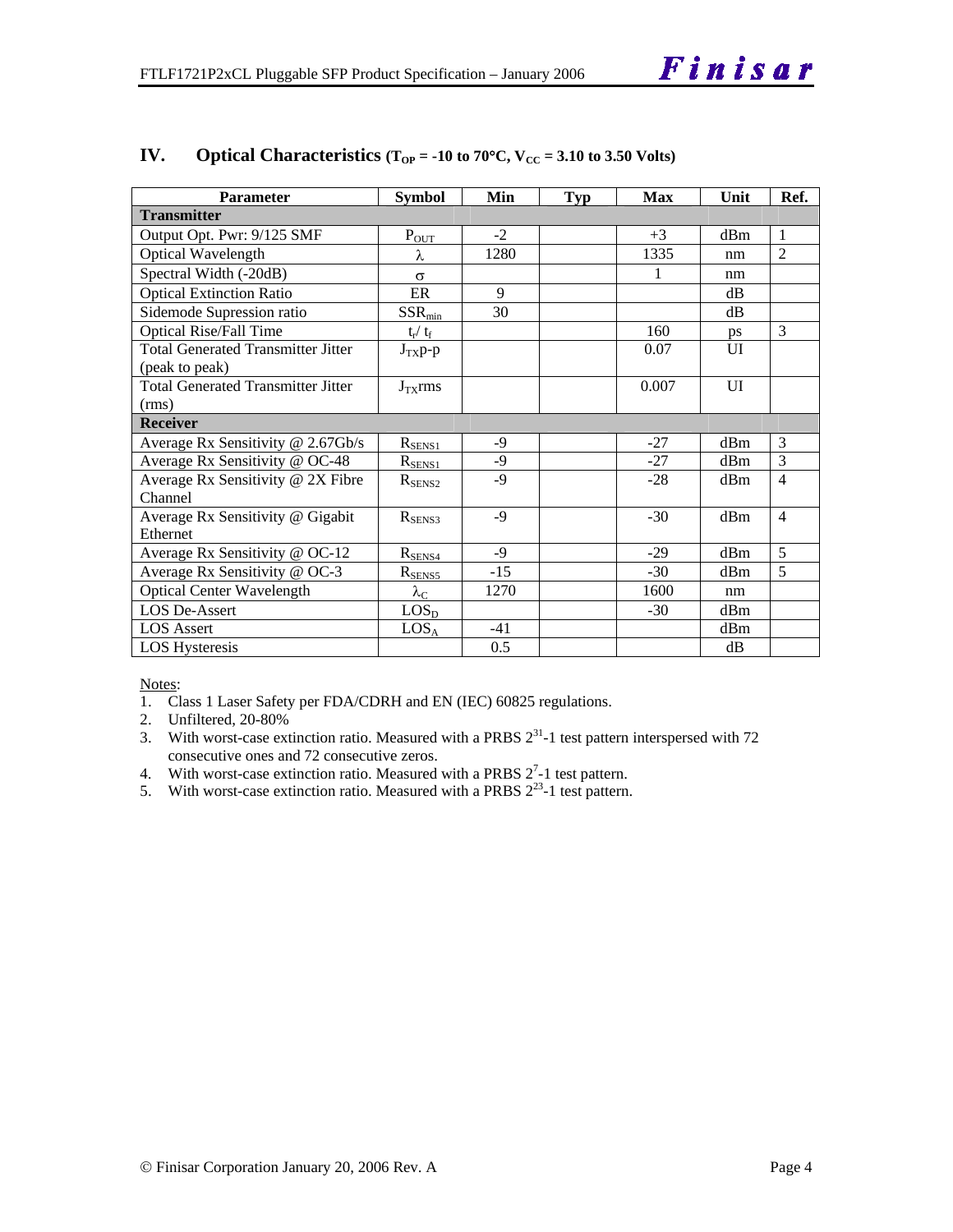| <b>Parameter</b>                          | <b>Symbol</b>      | Min   | Typ | <b>Max</b> | Unit | Ref.           |
|-------------------------------------------|--------------------|-------|-----|------------|------|----------------|
| <b>Transmitter</b>                        |                    |       |     |            |      |                |
| Output Opt. Pwr: 9/125 SMF                | $P_{OUT}$          | $-2$  |     | $+3$       | dBm  | $\overline{1}$ |
| Optical Wavelength                        | λ                  | 1280  |     | 1335       | nm   | $\overline{2}$ |
| Spectral Width (-20dB)                    | $\sigma$           |       |     | 1          | nm   |                |
| <b>Optical Extinction Ratio</b>           | ER                 | 9     |     |            | dB   |                |
| Sidemode Supression ratio                 | $SSR_{min}$        | 30    |     |            | dB   |                |
| <b>Optical Rise/Fall Time</b>             | $t_r / t_f$        |       |     | 160        | ps   | 3              |
| <b>Total Generated Transmitter Jitter</b> | $J_{TX}p-p$        |       |     | 0.07       | UI   |                |
| (peak to peak)                            |                    |       |     |            |      |                |
| <b>Total Generated Transmitter Jitter</b> | $J_{TX}$ rms       |       |     | 0.007      | UI   |                |
| (rms)                                     |                    |       |     |            |      |                |
| <b>Receiver</b>                           |                    |       |     |            |      |                |
| Average Rx Sensitivity @ 2.67Gb/s         | $R_{\rm SENS1}$    | $-9$  |     | $-27$      | dBm  | 3              |
| Average Rx Sensitivity @ OC-48            | $R_{SENS1}$        | $-9$  |     | $-27$      | dBm  | 3              |
| Average Rx Sensitivity @ 2X Fibre         | $R_{\rm SENS2}$    | $-9$  |     | $-28$      | dBm  | $\overline{4}$ |
| Channel                                   |                    |       |     |            |      |                |
| Average Rx Sensitivity @ Gigabit          | $R_{SENS3}$        | $-9$  |     | $-30$      | dBm  | $\overline{4}$ |
| Ethernet                                  |                    |       |     |            |      |                |
| Average Rx Sensitivity @ OC-12            | $R_{SENS4}$        | $-9$  |     | $-29$      | dBm  | 5              |
| Average Rx Sensitivity @ OC-3             | $R_{\text{SENS5}}$ | $-15$ |     | $-30$      | dBm  | $\overline{5}$ |
| <b>Optical Center Wavelength</b>          | $\lambda_{\rm C}$  | 1270  |     | 1600       | nm   |                |
| <b>LOS De-Assert</b>                      | LOS <sub>D</sub>   |       |     | $-30$      | dBm  |                |
| <b>LOS</b> Assert                         | LOS <sub>A</sub>   | $-41$ |     |            | dBm  |                |
| <b>LOS</b> Hysteresis                     |                    | 0.5   |     |            | dB   |                |

### **IV.** Optical Characteristics ( $T_{OP}$  = -10 to 70°C,  $V_{CC}$  = 3.10 to 3.50 Volts)

Notes:

- 1. Class 1 Laser Safety per FDA/CDRH and EN (IEC) 60825 regulations.
- 2. Unfiltered, 20-80%
- 3. With worst-case extinction ratio. Measured with a PRBS  $2^{31}$ -1 test pattern interspersed with 72 consecutive ones and 72 consecutive zeros.
- 4. With worst-case extinction ratio. Measured with a PRBS  $2^7$ -1 test pattern.
- 5. With worst-case extinction ratio. Measured with a PRBS  $2^{23}$ -1 test pattern.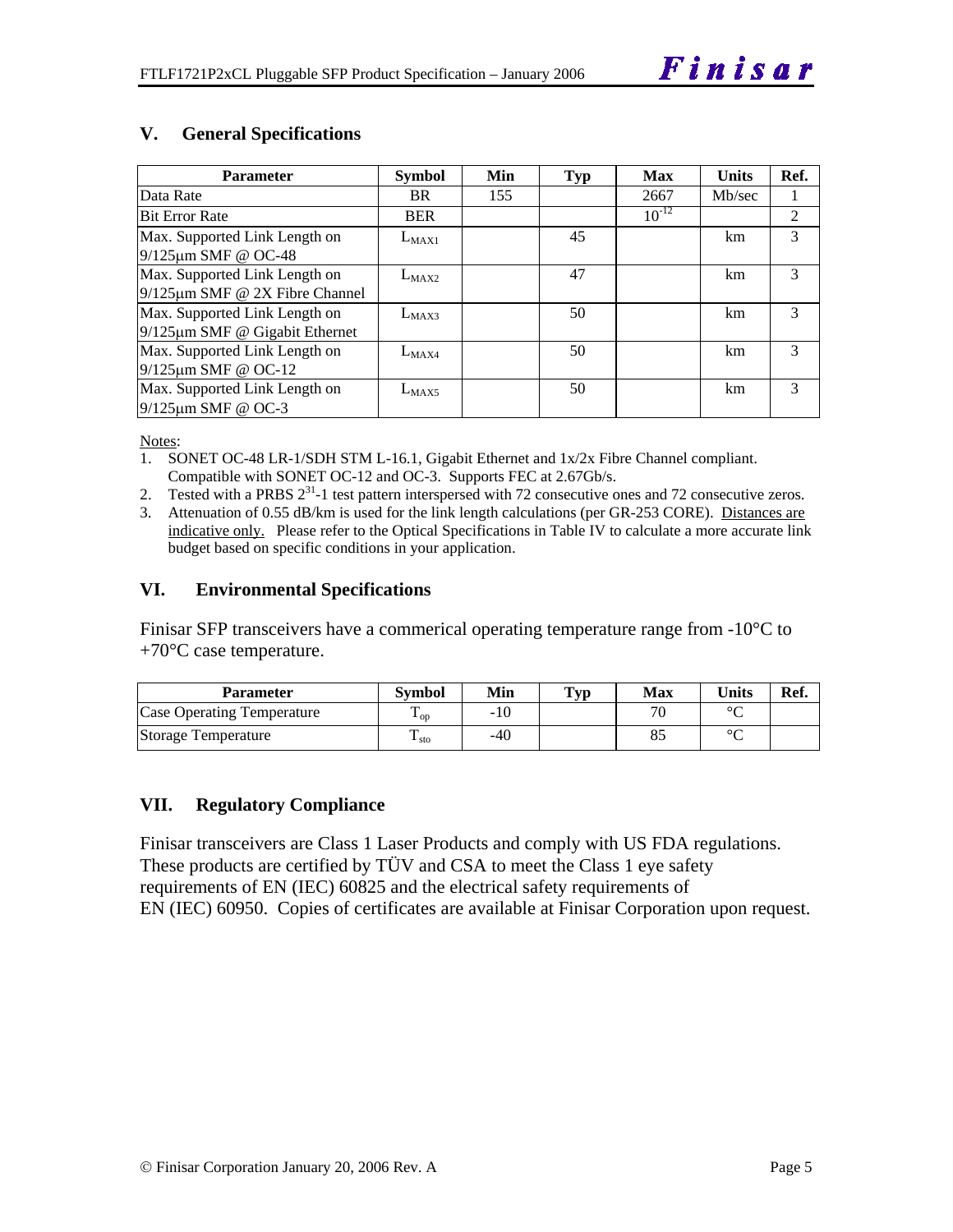| <b>Parameter</b>                     | <b>Symbol</b> | Min | Typ | <b>Max</b> | <b>Units</b> | Ref. |
|--------------------------------------|---------------|-----|-----|------------|--------------|------|
| Data Rate                            | BR.           | 155 |     | 2667       | Mb/sec       |      |
| <b>Bit Error Rate</b>                | <b>BER</b>    |     |     | $10^{-12}$ |              | 2    |
| Max. Supported Link Length on        | $L_{MAX1}$    |     | 45  |            | km.          | 3    |
| $9/125 \mu m$ SMF @ OC-48            |               |     |     |            |              |      |
| Max. Supported Link Length on        | $L_{MAX2}$    |     | 47  |            | km           | 3    |
| $9/125 \mu m$ SMF @ 2X Fibre Channel |               |     |     |            |              |      |
| Max. Supported Link Length on        | $L_{MAX3}$    |     | 50  |            | km           | 3    |
| $9/125 \mu m$ SMF @ Gigabit Ethernet |               |     |     |            |              |      |
| Max. Supported Link Length on        | $L_{MAX4}$    |     | 50  |            | km           | 3    |
| $9/125 \mu m$ SMF @ OC-12            |               |     |     |            |              |      |
| Max. Supported Link Length on        | $L_{MAX5}$    |     | 50  |            | km           | 3    |
| $9/125 \mu m$ SMF @ OC-3             |               |     |     |            |              |      |

#### **V. General Specifications**

Notes:

- 1. SONET OC-48 LR-1/SDH STM L-16.1, Gigabit Ethernet and 1x/2x Fibre Channel compliant. Compatible with SONET OC-12 and OC-3. Supports FEC at 2.67Gb/s.
- 2. Tested with a PRBS  $2^{31}$ -1 test pattern interspersed with 72 consecutive ones and 72 consecutive zeros.
- 3. Attenuation of 0.55 dB/km is used for the link length calculations (per GR-253 CORE). Distances are indicative only. Please refer to the Optical Specifications in Table IV to calculate a more accurate link budget based on specific conditions in your application.

#### **VI. Environmental Specifications**

Finisar SFP transceivers have a commerical operating temperature range from  $-10^{\circ}$ C to  $+70^{\circ}$ C case temperature.

| <b>Parameter</b>           | Svmbol              | Min   | $\mathbf{T}_{\mathbf{V}\mathbf{p}}$ | Max                      | <b>Units</b> | Ref. |
|----------------------------|---------------------|-------|-------------------------------------|--------------------------|--------------|------|
| Case Operating Temperature | $\mathbf{L}_{OD}$   | $-10$ |                                     | $\overline{\phantom{a}}$ | $\circ$      |      |
| Storage Temperature        | m<br>$\frac{1}{10}$ | $-40$ |                                     |                          | $\sim$       |      |

#### **VII. Regulatory Compliance**

Finisar transceivers are Class 1 Laser Products and comply with US FDA regulations. These products are certified by TÜV and CSA to meet the Class 1 eye safety requirements of EN (IEC) 60825 and the electrical safety requirements of EN (IEC) 60950. Copies of certificates are available at Finisar Corporation upon request.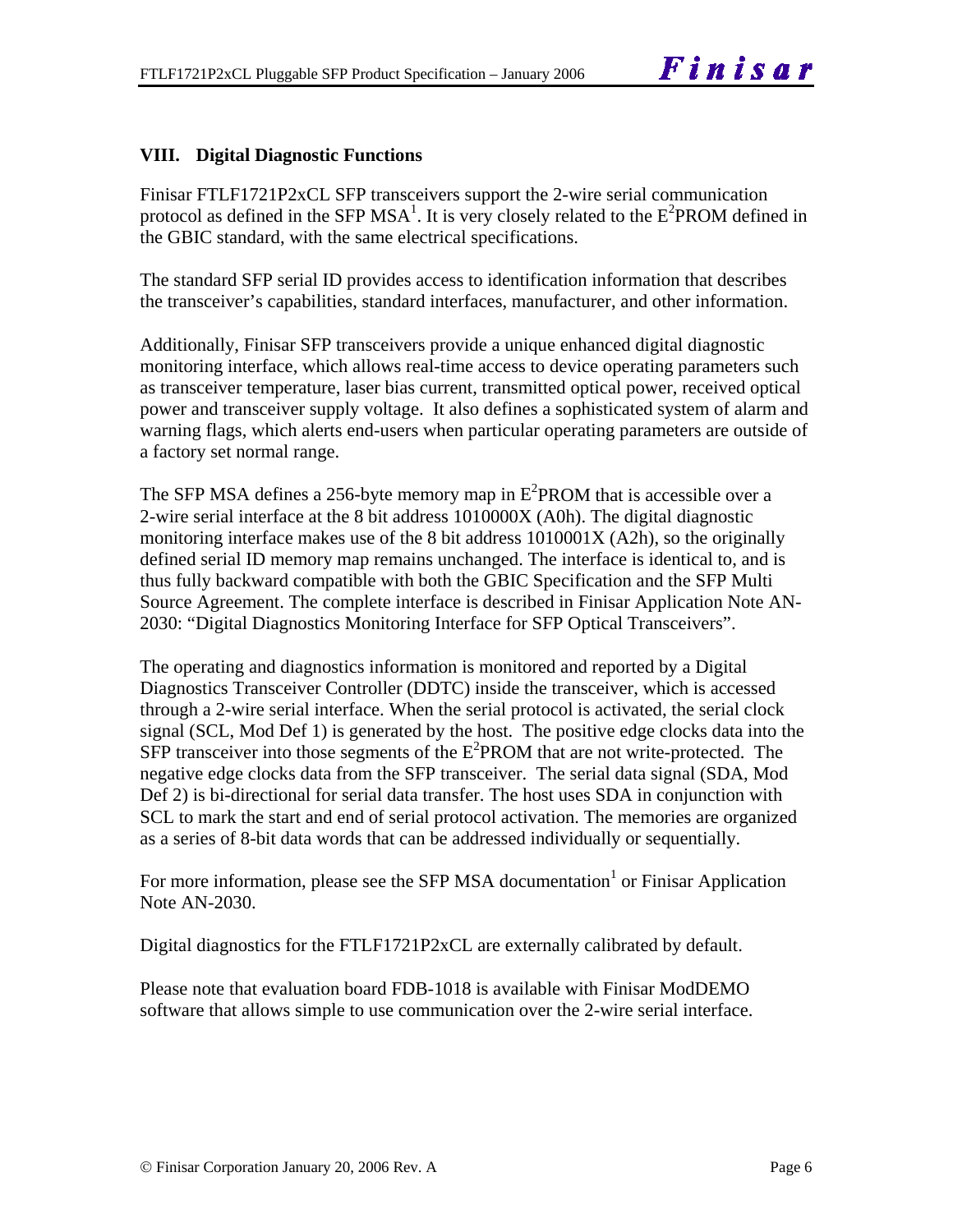#### **VIII. Digital Diagnostic Functions**

Finisar FTLF1721P2xCL SFP transceivers support the 2-wire serial communication protocol as defined in the SFP MSA<sup>1</sup>. It is very closely related to the  $E^2$ PROM defined in the GBIC standard, with the same electrical specifications.

The standard SFP serial ID provides access to identification information that describes the transceiver's capabilities, standard interfaces, manufacturer, and other information.

Additionally, Finisar SFP transceivers provide a unique enhanced digital diagnostic monitoring interface, which allows real-time access to device operating parameters such as transceiver temperature, laser bias current, transmitted optical power, received optical power and transceiver supply voltage. It also defines a sophisticated system of alarm and warning flags, which alerts end-users when particular operating parameters are outside of a factory set normal range.

The SFP MSA defines a 256-byte memory map in  $E^2$ PROM that is accessible over a 2-wire serial interface at the 8 bit address 1010000X (A0h). The digital diagnostic monitoring interface makes use of the 8 bit address 1010001X (A2h), so the originally defined serial ID memory map remains unchanged. The interface is identical to, and is thus fully backward compatible with both the GBIC Specification and the SFP Multi Source Agreement. The complete interface is described in Finisar Application Note AN-2030: "Digital Diagnostics Monitoring Interface for SFP Optical Transceivers".

The operating and diagnostics information is monitored and reported by a Digital Diagnostics Transceiver Controller (DDTC) inside the transceiver, which is accessed through a 2-wire serial interface. When the serial protocol is activated, the serial clock signal (SCL, Mod Def 1) is generated by the host. The positive edge clocks data into the  $SFP$  transceiver into those segments of the  $E^2$ PROM that are not write-protected. The negative edge clocks data from the SFP transceiver. The serial data signal (SDA, Mod Def 2) is bi-directional for serial data transfer. The host uses SDA in conjunction with SCL to mark the start and end of serial protocol activation. The memories are organized as a series of 8-bit data words that can be addressed individually or sequentially.

For more information, please see the SFP MSA documentation<sup>1</sup> or Finisar Application Note AN-2030.

Digital diagnostics for the FTLF1721P2xCL are externally calibrated by default.

Please note that evaluation board FDB-1018 is available with Finisar ModDEMO software that allows simple to use communication over the 2-wire serial interface.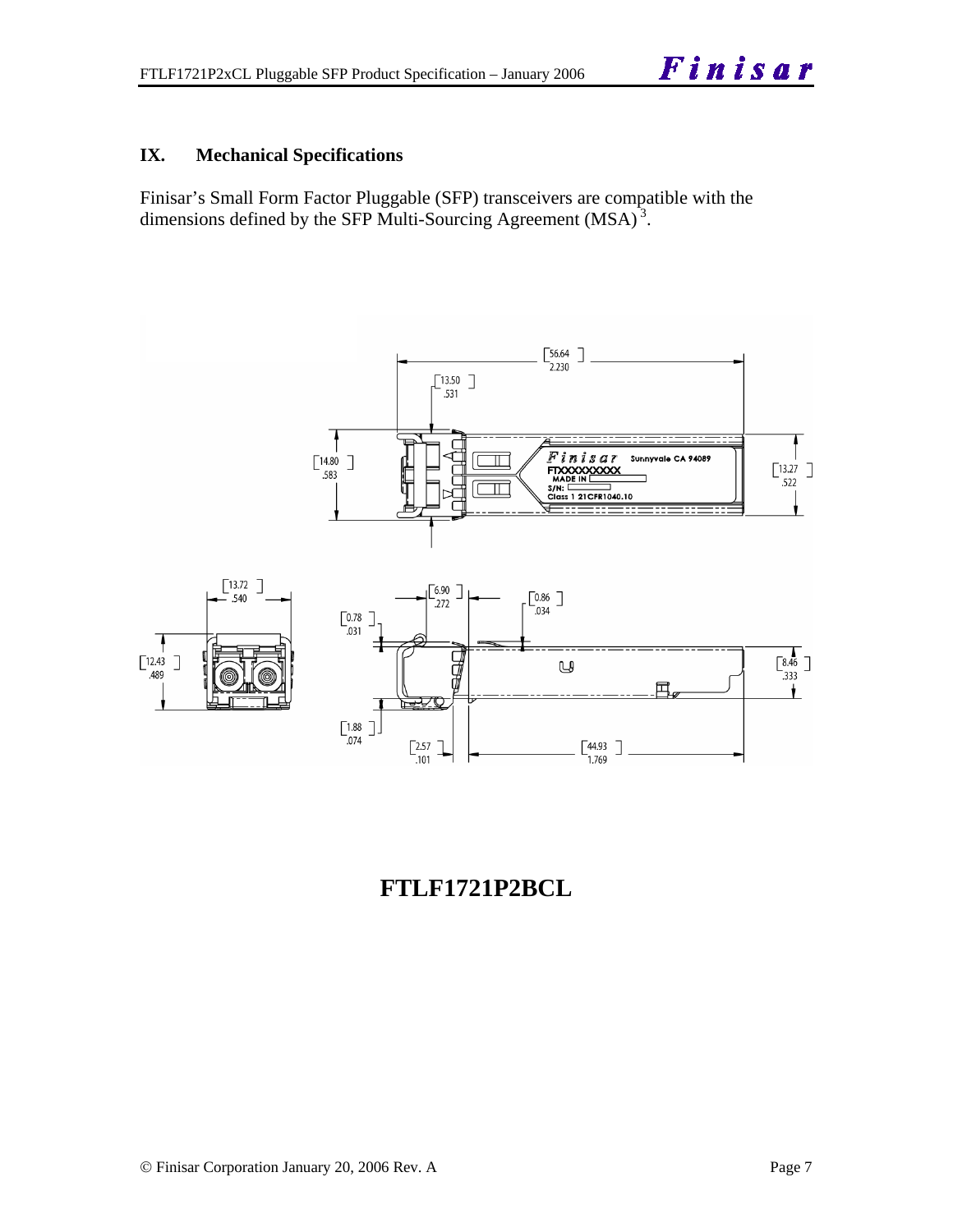#### **IX. Mechanical Specifications**

Finisar's Small Form Factor Pluggable (SFP) transceivers are compatible with the dimensions defined by the SFP Multi-Sourcing Agreement (MSA)<sup>3</sup>.



## **FTLF1721P2BCL**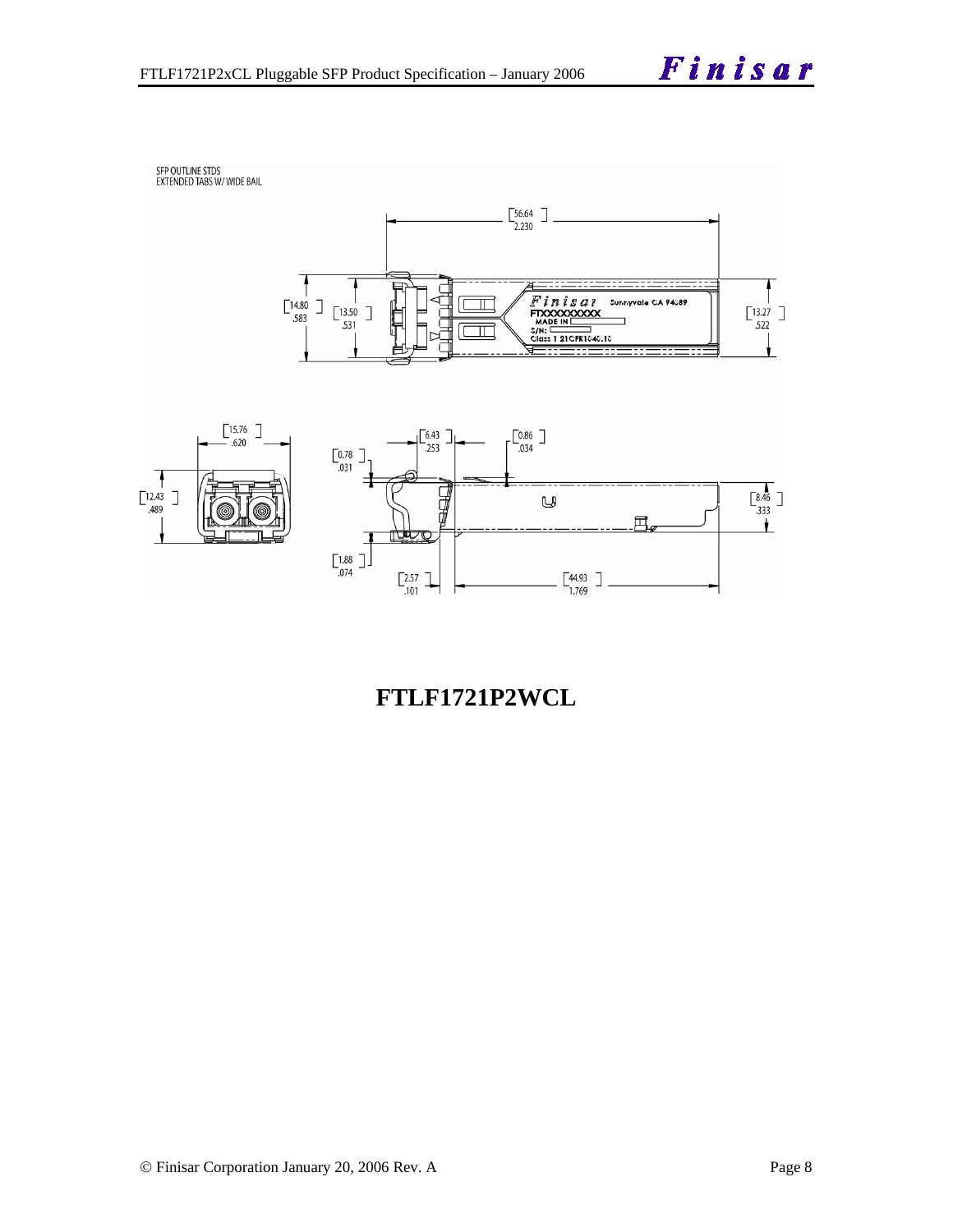SFP OUTLINE STDS<br>EXTENDED TABS W/ WIDE BAIL





## **FTLF1721P2WCL**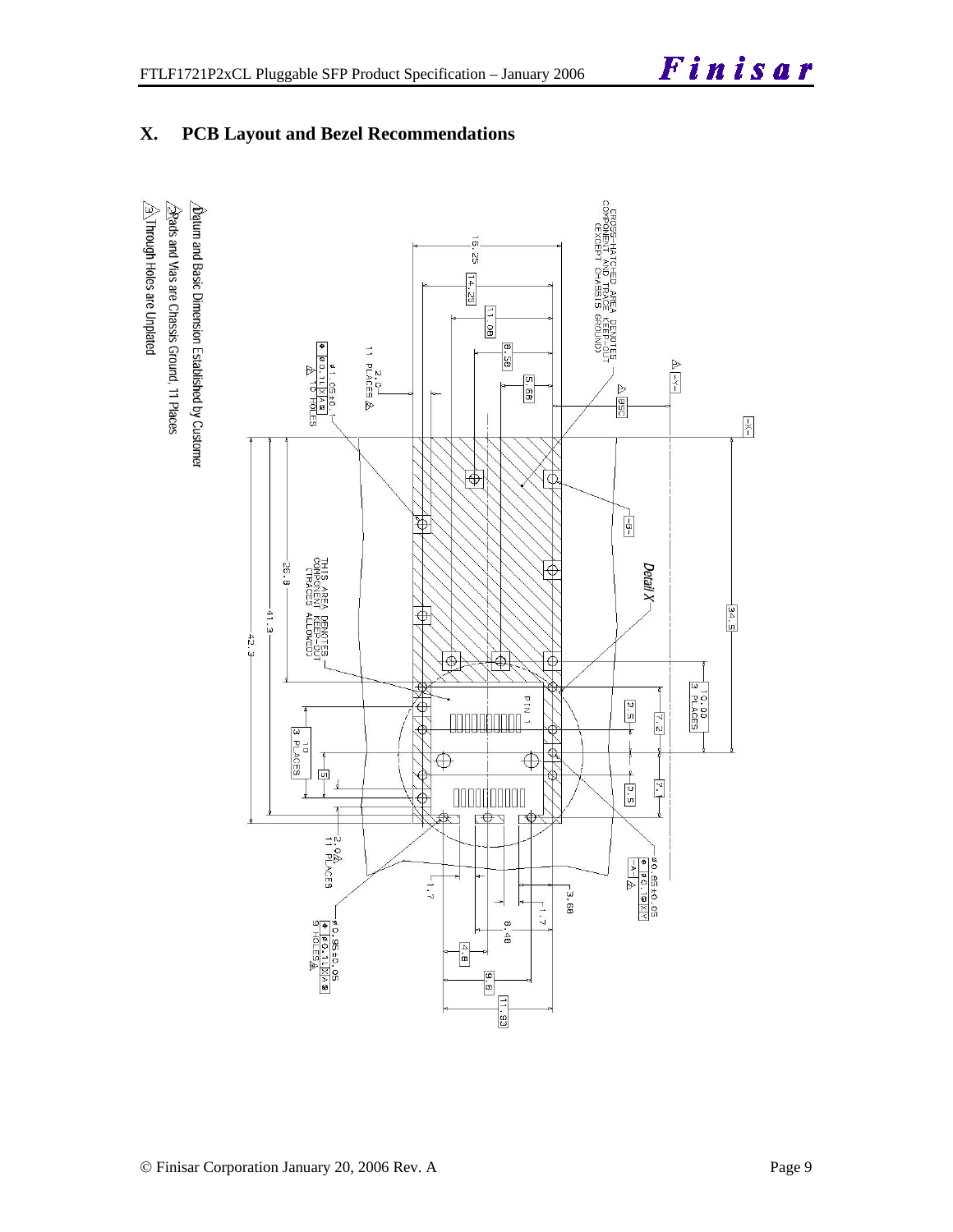### **X. PCB Layout and Bezel Recommendations**

 $\hat{\triangle}$ Through Holes are Unplated  $\sqrt{2}$ Rads and Vias are Chassis Ground, 11 Places  $\Delta$ batum and Basic Dimension Established by Customer

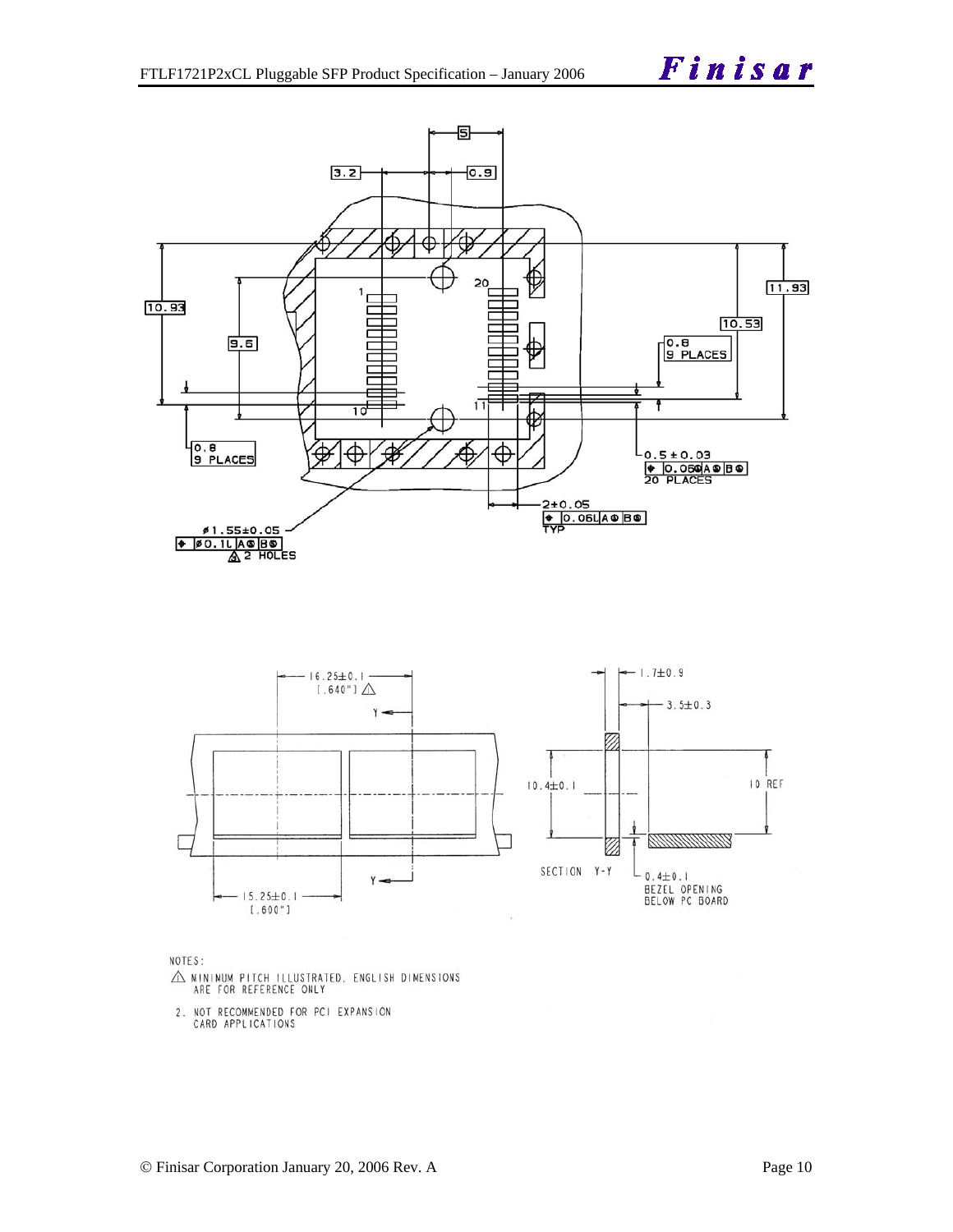



NOTES:

- $\triangle$  MINIMUM PITCH ILLUSTRATED, ENGLISH DIMENSIONS ARE FOR REFERENCE ONLY
- 2. NOT RECOMMENDED FOR PCI EXPANSION<br>CARD APPLICATIONS